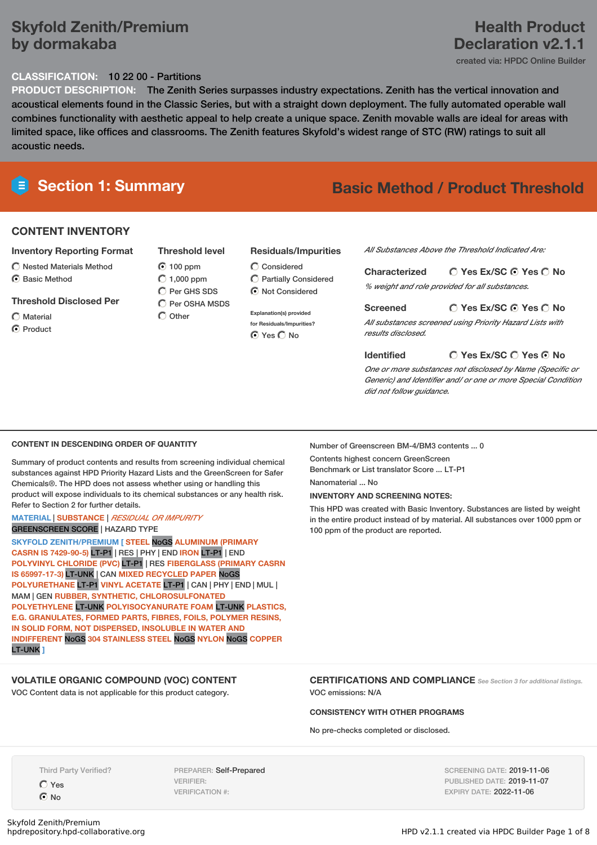# **Skyfold Zenith/Premium by dormakaba**

## **CLASSIFICATION:** 10 22 00 - Partitions

**PRODUCT DESCRIPTION:** The Zenith Series surpasses industry expectations. Zenith has the vertical innovation and acoustical elements found in the Classic Series, but with a straight down deployment. The fully automated operable wall combines functionality with aesthetic appeal to help create a unique space. Zenith movable walls are ideal for areas with limited space, like offices and classrooms. The Zenith features Skyfold's widest range of STC (RW) ratings to suit all acoustic needs.

# **CONTENT INVENTORY**

#### **Inventory Reporting Format**

 $\bigcirc$  Nested Materials Method C Basic Method

### **Threshold Disclosed Per**

- Material
- C Product

### **Threshold level**

## $\odot$  100 ppm  $O$  1,000 ppm  $\bigcap$  Per GHS SDS

- C Per OSHA MSDS  $\bigcap$  Other
- Considered Partially Considered  $\odot$  Not Considered

**Residuals/Impurities**

**Explanation(s) provided for Residuals/Impurities?** ⊙ Yes O No

# **Section 1: Summary Basic Method / Product Threshold**

*All Substances Above the Threshold Indicated Are:*

**Yes Ex/SC Yes No Characterized** *% weight and role provided for all substances.*

#### **Yes Ex/SC Yes No Screened** *All substances screened using Priority Hazard Lists with results disclosed.*

#### **Identified**

**Yes Ex/SC Yes No**

*One or more substances not disclosed by Name (Specific or Generic) and Identifier and/ or one or more Special Condition did not follow guidance.*

#### **CONTENT IN DESCENDING ORDER OF QUANTITY**

Summary of product contents and results from screening individual chemical substances against HPD Priority Hazard Lists and the GreenScreen for Safer Chemicals®. The HPD does not assess whether using or handling this product will expose individuals to its chemical substances or any health risk. Refer to Section 2 for further details.

# **MATERIAL** | **SUBSTANCE** | *RESIDUAL OR IMPURITY*

GREENSCREEN SCORE | HAZARD TYPE

**SKYFOLD ZENITH/PREMIUM [ STEEL** NoGS **ALUMINUM (PRIMARY CASRN IS 7429-90-5)** LT-P1 | RES | PHY | END **IRON** LT-P1 | END **POLYVINYL CHLORIDE (PVC)** LT-P1 | RES **FIBERGLASS (PRIMARY CASRN IS 65997-17-3)** LT-UNK | CAN **MIXED RECYCLED PAPER** NoGS **POLYURETHANE** LT-P1 **VINYL ACETATE** LT-P1 | CAN | PHY | END | MUL | MAM | GEN **RUBBER, SYNTHETIC, CHLOROSULFONATED POLYETHYLENE** LT-UNK **POLYISOCYANURATE FOAM** LT-UNK **PLASTICS, E.G. GRANULATES, FORMED PARTS, FIBRES, FOILS, POLYMER RESINS, IN SOLID FORM, NOT DISPERSED, INSOLUBLE IN WATER AND INDIFFERENT** NoGS **304 STAINLESS STEEL** NoGS **NYLON** NoGS **COPPER** LT-UNK **]**

# **VOLATILE ORGANIC COMPOUND (VOC) CONTENT**

VOC Content data is not applicable for this product category.

Number of Greenscreen BM-4/BM3 contents ... 0

Contents highest concern GreenScreen Benchmark or List translator Score ... LT-P1 Nanomaterial ... No

#### **INVENTORY AND SCREENING NOTES:**

This HPD was created with Basic Inventory. Substances are listed by weight in the entire product instead of by material. All substances over 1000 ppm or 100 ppm of the product are reported.

### **CERTIFICATIONS AND COMPLIANCE** *See Section <sup>3</sup> for additional listings.* VOC emissions: N/A

#### **CONSISTENCY WITH OTHER PROGRAMS**

No pre-checks completed or disclosed.

Third Party Verified?

Yes No

PREPARER: Self-Prepared VERIFIER: VERIFICATION #:

SCREENING DATE: 2019-11-06 PUBLISHED DATE: 2019-11-07 EXPIRY DATE: 2022-11-06

# **Health Product Declaration v2.1.1**

created via: HPDC Online Builder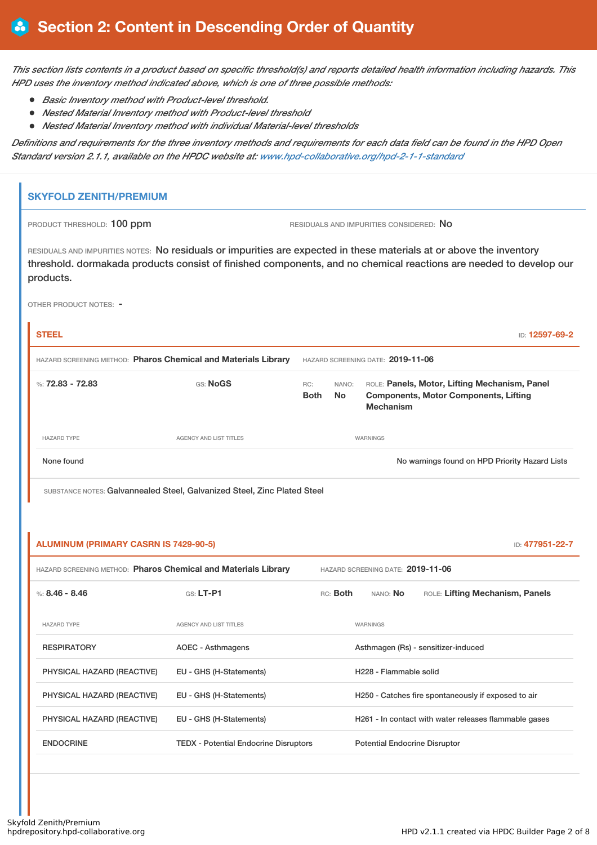This section lists contents in a product based on specific threshold(s) and reports detailed health information including hazards. This *HPD uses the inventory method indicated above, which is one of three possible methods:*

- *Basic Inventory method with Product-level threshold.*
- *Nested Material Inventory method with Product-level threshold*
- *Nested Material Inventory method with individual Material-level thresholds*

Definitions and requirements for the three inventory methods and requirements for each data field can be found in the HPD Open *Standard version 2.1.1, available on the HPDC website at: [www.hpd-collaborative.org/hpd-2-1-1-standard](https://www.hpd-collaborative.org/hpd-2-1-1-standard)*

# **SKYFOLD ZENITH/PREMIUM**

PRODUCT THRESHOLD: 100 ppm RESIDUALS AND IMPURITIES CONSIDERED: No

RESIDUALS AND IMPURITIES NOTES: No residuals or impurities are expected in these materials at or above the inventory threshold. dormakada products consist of finished components, and no chemical reactions are needed to develop our products.

OTHER PRODUCT NOTES: -

| <b>STEEL</b>                                                   |                        |                    |                                   | ID: 12597-69-2                                                                                                    |  |
|----------------------------------------------------------------|------------------------|--------------------|-----------------------------------|-------------------------------------------------------------------------------------------------------------------|--|
| HAZARD SCREENING METHOD: Pharos Chemical and Materials Library |                        |                    | HAZARD SCREENING DATE: 2019-11-06 |                                                                                                                   |  |
| %: $72.83 - 72.83$                                             | GS: NoGS               | RC:<br><b>Both</b> | NANO:<br>No.                      | ROLE: Panels, Motor, Lifting Mechanism, Panel<br><b>Components, Motor Components, Lifting</b><br><b>Mechanism</b> |  |
| <b>HAZARD TYPE</b>                                             | AGENCY AND LIST TITLES |                    |                                   | WARNINGS                                                                                                          |  |
| None found                                                     |                        |                    |                                   | No warnings found on HPD Priority Hazard Lists                                                                    |  |

SUBSTANCE NOTES: Galvannealed Steel, Galvanized Steel, Zinc Plated Steel

| <b>ALUMINUM (PRIMARY CASRN IS 7429-90-5)</b><br>ID: 477951-22-7       |                                              |                                                     |                                      |                                                       |  |
|-----------------------------------------------------------------------|----------------------------------------------|-----------------------------------------------------|--------------------------------------|-------------------------------------------------------|--|
| <b>HAZARD SCREENING METHOD: Pharos Chemical and Materials Library</b> |                                              |                                                     | HAZARD SCREENING DATE: 2019-11-06    |                                                       |  |
| %: $8.46 - 8.46$                                                      | GS: LT-P1                                    | RC: Both                                            | NANO: <b>No</b>                      | ROLE: Lifting Mechanism, Panels                       |  |
| <b>HAZARD TYPE</b>                                                    | <b>AGENCY AND LIST TITLES</b>                |                                                     | WARNINGS                             |                                                       |  |
| <b>RESPIRATORY</b>                                                    | AOEC - Asthmagens                            |                                                     |                                      | Asthmagen (Rs) - sensitizer-induced                   |  |
| PHYSICAL HAZARD (REACTIVE)                                            | EU - GHS (H-Statements)                      |                                                     | H228 - Flammable solid               |                                                       |  |
| PHYSICAL HAZARD (REACTIVE)                                            | EU - GHS (H-Statements)                      | H250 - Catches fire spontaneously if exposed to air |                                      |                                                       |  |
| PHYSICAL HAZARD (REACTIVE)                                            | EU - GHS (H-Statements)                      |                                                     |                                      | H261 - In contact with water releases flammable gases |  |
| <b>ENDOCRINE</b>                                                      | <b>TEDX</b> - Potential Endocrine Disruptors |                                                     | <b>Potential Endocrine Disruptor</b> |                                                       |  |
|                                                                       |                                              |                                                     |                                      |                                                       |  |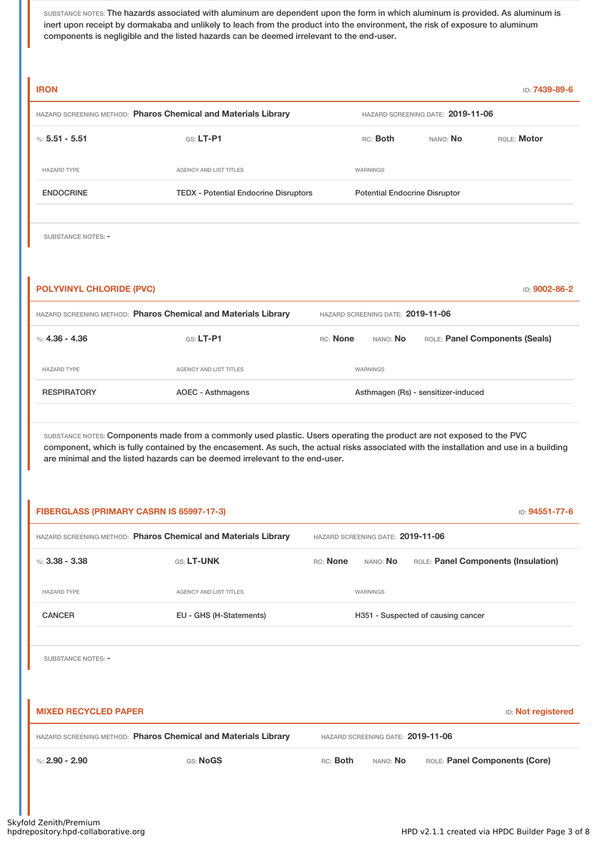SUBSTANCE NOTES: The hazards associated with aluminum are dependent upon the form in which aluminum is provided. As aluminum is inert upon receipt by dormakaba and unlikely to leach from the product into the environment, the risk of exposure to aluminum components is negligible and the listed hazards can be deemed irrelevant to the end-user.

| <b>IRON</b>                              |                                                                                                                                                                                                                                                                  |                                   |                                      | ID: 7439-89-6                       |
|------------------------------------------|------------------------------------------------------------------------------------------------------------------------------------------------------------------------------------------------------------------------------------------------------------------|-----------------------------------|--------------------------------------|-------------------------------------|
|                                          | HAZARD SCREENING METHOD: Pharos Chemical and Materials Library                                                                                                                                                                                                   |                                   | HAZARD SCREENING DATE: 2019-11-06    |                                     |
| %: $5.51 - 5.51$                         | $GS: LT-P1$                                                                                                                                                                                                                                                      | RC: Both                          | NANO: No                             | ROLE: Motor                         |
| <b>HAZARD TYPE</b>                       | AGENCY AND LIST TITLES                                                                                                                                                                                                                                           | WARNINGS                          |                                      |                                     |
| <b>ENDOCRINE</b>                         | <b>TEDX - Potential Endocrine Disruptors</b>                                                                                                                                                                                                                     |                                   | <b>Potential Endocrine Disruptor</b> |                                     |
|                                          |                                                                                                                                                                                                                                                                  |                                   |                                      |                                     |
| SUBSTANCE NOTES: -                       |                                                                                                                                                                                                                                                                  |                                   |                                      |                                     |
|                                          |                                                                                                                                                                                                                                                                  |                                   |                                      |                                     |
| <b>POLYVINYL CHLORIDE (PVC)</b>          |                                                                                                                                                                                                                                                                  |                                   |                                      | ID: 9002-86-2                       |
|                                          | HAZARD SCREENING METHOD: Pharos Chemical and Materials Library                                                                                                                                                                                                   | HAZARD SCREENING DATE: 2019-11-06 |                                      |                                     |
| %: $4.36 - 4.36$                         | GS: LT-P1                                                                                                                                                                                                                                                        | RC: None                          | NANO: No                             | ROLE: Panel Components (Seals)      |
| <b>HAZARD TYPE</b>                       | AGENCY AND LIST TITLES                                                                                                                                                                                                                                           | WARNINGS                          |                                      |                                     |
| <b>RESPIRATORY</b>                       | <b>AOEC - Asthmagens</b>                                                                                                                                                                                                                                         |                                   | Asthmagen (Rs) - sensitizer-induced  |                                     |
|                                          |                                                                                                                                                                                                                                                                  |                                   |                                      |                                     |
|                                          | SUBSTANCE NOTES: Components made from a commonly used plastic. Users operating the product are not exposed to the PVC<br>component, which is fully contained by the encasement. As such, the actual risks associated with the installation and use in a building |                                   |                                      |                                     |
|                                          | are minimal and the listed hazards can be deemed irrelevant to the end-user.                                                                                                                                                                                     |                                   |                                      |                                     |
|                                          |                                                                                                                                                                                                                                                                  |                                   |                                      |                                     |
| FIBERGLASS (PRIMARY CASRN IS 65997-17-3) |                                                                                                                                                                                                                                                                  |                                   |                                      | ID: 94551-77-6                      |
|                                          | HAZARD SCREENING METHOD: Pharos Chemical and Materials Library                                                                                                                                                                                                   | HAZARD SCREENING DATE: 2019-11-06 |                                      |                                     |
| %: $3.38 - 3.38$                         | GS: LT-UNK                                                                                                                                                                                                                                                       | RC: None<br>NANO: No              |                                      | ROLE: Panel Components (Insulation) |
| <b>HAZARD TYPE</b>                       | AGENCY AND LIST TITLES                                                                                                                                                                                                                                           | WARNINGS                          |                                      |                                     |
| <b>CANCER</b>                            | EU - GHS (H-Statements)                                                                                                                                                                                                                                          |                                   | H351 - Suspected of causing cancer   |                                     |
|                                          |                                                                                                                                                                                                                                                                  |                                   |                                      |                                     |
| <b>SUBSTANCE NOTES: -</b>                |                                                                                                                                                                                                                                                                  |                                   |                                      |                                     |
|                                          |                                                                                                                                                                                                                                                                  |                                   |                                      |                                     |
| <b>MIXED RECYCLED PAPER</b>              |                                                                                                                                                                                                                                                                  |                                   |                                      | <b>ID: Not registered</b>           |
|                                          | HAZARD SCREENING METHOD: Pharos Chemical and Materials Library                                                                                                                                                                                                   | HAZARD SCREENING DATE: 2019-11-06 |                                      |                                     |
| %: $2.90 - 2.90$                         | GS: NoGS                                                                                                                                                                                                                                                         | RC: Both                          | NANO: No                             | ROLE: Panel Components (Core)       |
|                                          |                                                                                                                                                                                                                                                                  |                                   |                                      |                                     |
|                                          |                                                                                                                                                                                                                                                                  |                                   |                                      |                                     |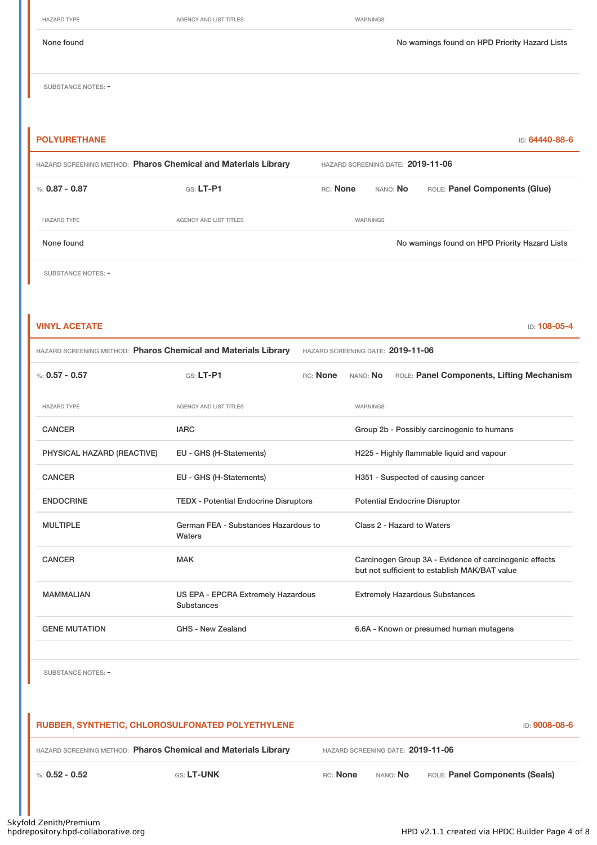HAZARD TYPE **AGENCY AND LIST TITLES** WARNINGS

None found Now arrings found No warnings found on HPD Priority Hazard Lists

SUBSTANCE NOTES: -

| <b>POLYURETHANE</b>                                            |                                   |          |                 | ID: 64440-88-6                                 |
|----------------------------------------------------------------|-----------------------------------|----------|-----------------|------------------------------------------------|
| HAZARD SCREENING METHOD: Pharos Chemical and Materials Library | HAZARD SCREENING DATE: 2019-11-06 |          |                 |                                                |
| %: 0.87 - 0.87                                                 | $GS: LT-P1$                       | RC: None | NANO: <b>No</b> | ROLE: Panel Components (Glue)                  |
| <b>HAZARD TYPE</b>                                             | AGENCY AND LIST TITLES            |          | WARNINGS        |                                                |
| None found                                                     |                                   |          |                 | No warnings found on HPD Priority Hazard Lists |
| SUBSTANCE NOTES: -                                             |                                   |          |                 |                                                |

| <b>VINYL ACETATE</b> | ID: 108-05-4 |
|----------------------|--------------|
|                      |              |

|  | <b>HAZARD SCREENING METHOD: Pharos Chemical and Materials Library</b> | HAZARD SCREENING DATE: 2019-11-06 |  |
|--|-----------------------------------------------------------------------|-----------------------------------|--|
|--|-----------------------------------------------------------------------|-----------------------------------|--|

| %: $0.57 - 0.57$           | GS: LT-P1<br>RC: None                            | ROLE: Panel Components, Lifting Mechanism<br>nano: <b>No</b>                                            |
|----------------------------|--------------------------------------------------|---------------------------------------------------------------------------------------------------------|
| <b>HAZARD TYPE</b>         | AGENCY AND LIST TITLES                           | <b>WARNINGS</b>                                                                                         |
| <b>CANCER</b>              | <b>IARC</b>                                      | Group 2b - Possibly carcinogenic to humans                                                              |
| PHYSICAL HAZARD (REACTIVE) | EU - GHS (H-Statements)                          | H225 - Highly flammable liquid and vapour                                                               |
| <b>CANCER</b>              | EU - GHS (H-Statements)                          | H351 - Suspected of causing cancer                                                                      |
| <b>ENDOCRINE</b>           | <b>TEDX</b> - Potential Endocrine Disruptors     | <b>Potential Endocrine Disruptor</b>                                                                    |
| <b>MULTIPLE</b>            | German FEA - Substances Hazardous to<br>Waters   | Class 2 - Hazard to Waters                                                                              |
| <b>CANCER</b>              | <b>MAK</b>                                       | Carcinogen Group 3A - Evidence of carcinogenic effects<br>but not sufficient to establish MAK/BAT value |
| <b>MAMMALIAN</b>           | US EPA - EPCRA Extremely Hazardous<br>Substances | <b>Extremely Hazardous Substances</b>                                                                   |
| <b>GENE MUTATION</b>       | GHS - New Zealand                                | 6.6A - Known or presumed human mutagens                                                                 |

SUBSTANCE NOTES: -

|                                                                | RUBBER, SYNTHETIC, CHLOROSULFONATED POLYETHYLENE |          |                                   | <b>ID: 9008-08-6</b>           |
|----------------------------------------------------------------|--------------------------------------------------|----------|-----------------------------------|--------------------------------|
| HAZARD SCREENING METHOD: Pharos Chemical and Materials Library |                                                  |          | HAZARD SCREENING DATE: 2019-11-06 |                                |
| %: 0.52 - 0.52                                                 | <b>GS: LT-UNK</b>                                | RC: None | nano: <b>No</b>                   | ROLE: Panel Components (Seals) |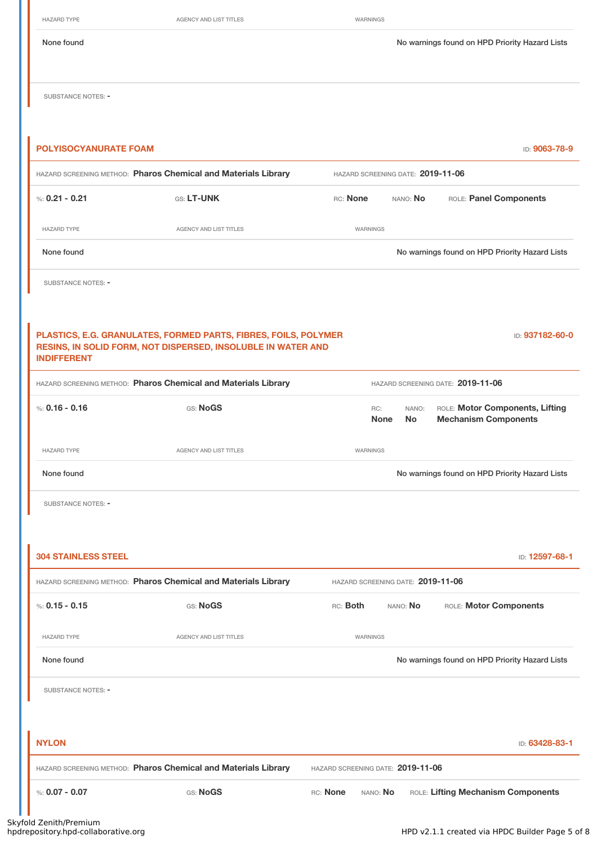| None found                   |                                                                                                                                 |                                   |                    | No warnings found on HPD Priority Hazard Lists                 |
|------------------------------|---------------------------------------------------------------------------------------------------------------------------------|-----------------------------------|--------------------|----------------------------------------------------------------|
| <b>SUBSTANCE NOTES: -</b>    |                                                                                                                                 |                                   |                    |                                                                |
| <b>POLYISOCYANURATE FOAM</b> |                                                                                                                                 |                                   |                    | ID: 9063-78-9                                                  |
|                              | HAZARD SCREENING METHOD: Pharos Chemical and Materials Library                                                                  | HAZARD SCREENING DATE: 2019-11-06 |                    |                                                                |
| %: $0.21 - 0.21$             | GS: LT-UNK                                                                                                                      | RC: None                          | NANO: No           | ROLE: Panel Components                                         |
| <b>HAZARD TYPE</b>           | AGENCY AND LIST TITLES                                                                                                          | WARNINGS                          |                    |                                                                |
| None found                   |                                                                                                                                 |                                   |                    | No warnings found on HPD Priority Hazard Lists                 |
| <b>SUBSTANCE NOTES: -</b>    |                                                                                                                                 |                                   |                    |                                                                |
|                              |                                                                                                                                 |                                   |                    |                                                                |
| <b>INDIFFERENT</b>           | PLASTICS, E.G. GRANULATES, FORMED PARTS, FIBRES, FOILS, POLYMER<br>RESINS, IN SOLID FORM, NOT DISPERSED, INSOLUBLE IN WATER AND |                                   |                    | ID: 937182-60-0                                                |
|                              | HAZARD SCREENING METHOD: Pharos Chemical and Materials Library                                                                  |                                   |                    | HAZARD SCREENING DATE: 2019-11-06                              |
| %: $0.16 - 0.16$             | GS: NoGS                                                                                                                        | RC:<br><b>None</b>                | NANO:<br><b>No</b> | ROLE: Motor Components, Lifting<br><b>Mechanism Components</b> |
| <b>HAZARD TYPE</b>           | AGENCY AND LIST TITLES                                                                                                          | WARNINGS                          |                    |                                                                |
| None found                   |                                                                                                                                 |                                   |                    | No warnings found on HPD Priority Hazard Lists                 |
| <b>SUBSTANCE NOTES: -</b>    |                                                                                                                                 |                                   |                    |                                                                |
|                              |                                                                                                                                 |                                   |                    |                                                                |
| <b>304 STAINLESS STEEL</b>   |                                                                                                                                 |                                   |                    | ID: 12597-68-1                                                 |
|                              | HAZARD SCREENING METHOD: Pharos Chemical and Materials Library                                                                  | HAZARD SCREENING DATE: 2019-11-06 |                    |                                                                |
| %: $0.15 - 0.15$             | GS: NoGS                                                                                                                        | RC: Both                          | NANO: No           | ROLE: Motor Components                                         |
| <b>HAZARD TYPE</b>           | <b>AGENCY AND LIST TITLES</b>                                                                                                   | WARNINGS                          |                    |                                                                |
| None found                   |                                                                                                                                 |                                   |                    | No warnings found on HPD Priority Hazard Lists                 |
| <b>SUBSTANCE NOTES: -</b>    |                                                                                                                                 |                                   |                    |                                                                |
|                              |                                                                                                                                 |                                   |                    |                                                                |
| <b>NYLON</b>                 |                                                                                                                                 |                                   |                    | ID: 63428-83-1                                                 |
|                              | HAZARD SCREENING METHOD: Pharos Chemical and Materials Library                                                                  | HAZARD SCREENING DATE: 2019-11-06 |                    |                                                                |
| %: $0.07 - 0.07$             | GS: NoGS                                                                                                                        | RC: None<br>NANO: No              |                    | ROLE: Lifting Mechanism Components                             |

HAZARD TYPE AGENCY AND LIST TITLES WARNINGS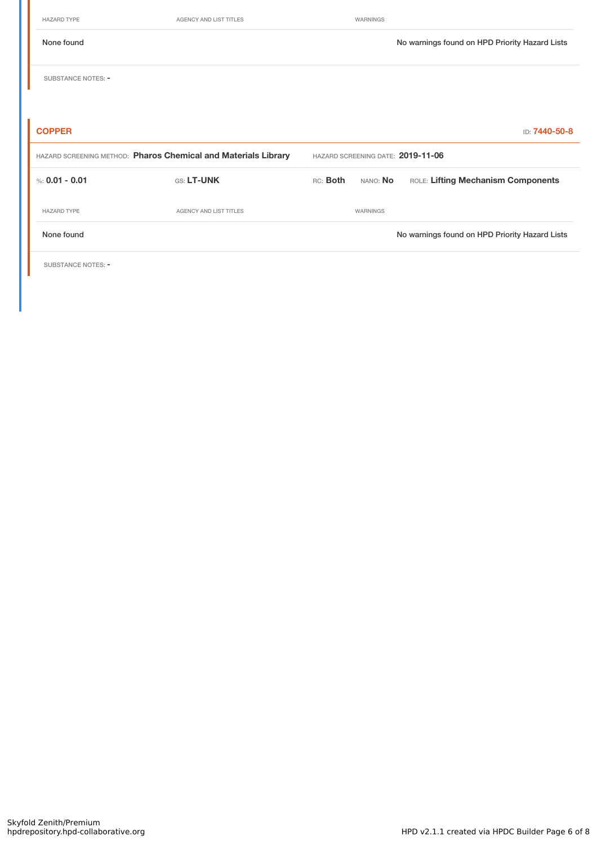HAZARD TYPE **AGENCY AND LIST TITLES AGENCY AND LIST TITLES WARNINGS** None found Nowarnings found on HPD Priority Hazard Lists SUBSTANCE NOTES: -**COPPER** ID: **7440-50-8** HAZARD SCREENING METHOD: **Pharos Chemical and Materials Library** HAZARD SCREENING DATE: **2019-11-06** %: **0.01 • 0.01** GS: LT-UNK RC: Both NANO: No ROLE: Lifting Mechanism Components HAZARD TYPE **AGENCY AND LIST TITLES** WARNINGS None found No warnings found on HPD Priority Hazard Lists

SUBSTANCE NOTES: -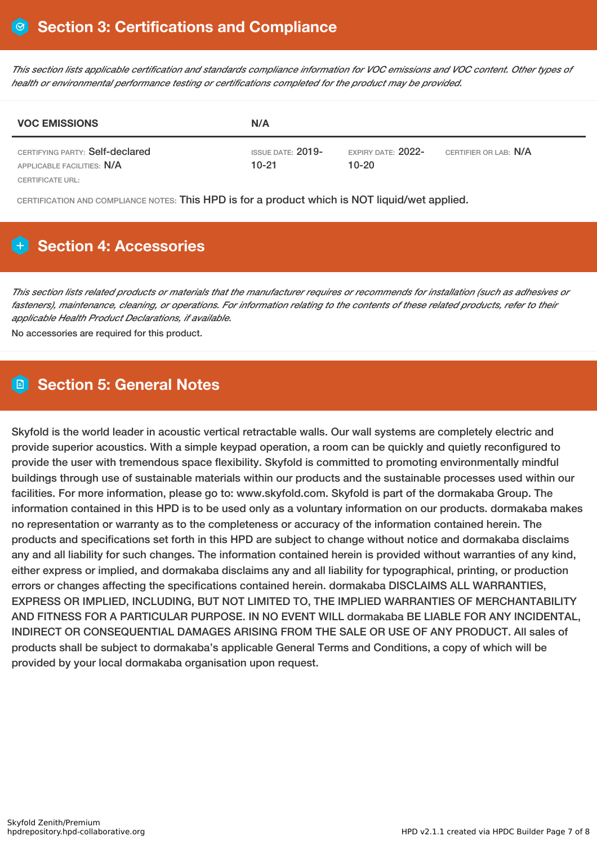This section lists applicable certification and standards compliance information for VOC emissions and VOC content. Other types of *health or environmental performance testing or certifications completed for the product may be provided.*

| <b>VOC EMISSIONS</b>                                          | N/A                             |                                 |                              |
|---------------------------------------------------------------|---------------------------------|---------------------------------|------------------------------|
| CERTIFYING PARTY: Self-declared<br>APPLICABLE FACILITIES: N/A | ISSUE DATE: $2019$ -<br>$10-21$ | EXPIRY DATE: $2022-$<br>$10-20$ | CERTIFIER OR LAB: <b>N/A</b> |
| CERTIFICATE URL:                                              |                                 |                                 |                              |

CERTIFICATION AND COMPLIANCE NOTES: This HPD is for a product which is NOT liquid/wet applied.

# **Section 4: Accessories**

This section lists related products or materials that the manufacturer requires or recommends for installation (such as adhesives or fasteners), maintenance, cleaning, or operations. For information relating to the contents of these related products, refer to their *applicable Health Product Declarations, if available.*

No accessories are required for this product.

# **Section 5: General Notes**

Skyfold is the world leader in acoustic vertical retractable walls. Our wall systems are completely electric and provide superior acoustics. With a simple keypad operation, a room can be quickly and quietly reconfigured to provide the user with tremendous space flexibility. Skyfold is committed to promoting environmentally mindful buildings through use of sustainable materials within our products and the sustainable processes used within our facilities. For more information, please go to: www.skyfold.com. Skyfold is part of the dormakaba Group. The information contained in this HPD is to be used only as a voluntary information on our products. dormakaba makes no representation or warranty as to the completeness or accuracy of the information contained herein. The products and specifications set forth in this HPD are subject to change without notice and dormakaba disclaims any and all liability for such changes. The information contained herein is provided without warranties of any kind, either express or implied, and dormakaba disclaims any and all liability for typographical, printing, or production errors or changes affecting the specifications contained herein. dormakaba DISCLAIMS ALL WARRANTIES, EXPRESS OR IMPLIED, INCLUDING, BUT NOT LIMITED TO, THE IMPLIED WARRANTIES OF MERCHANTABILITY AND FITNESS FOR A PARTICULAR PURPOSE. IN NO EVENT WILL dormakaba BE LIABLE FOR ANY INCIDENTAL, INDIRECT OR CONSEQUENTIAL DAMAGES ARISING FROM THE SALE OR USE OF ANY PRODUCT. All sales of products shall be subject to dormakaba's applicable General Terms and Conditions, a copy of which will be provided by your local dormakaba organisation upon request.